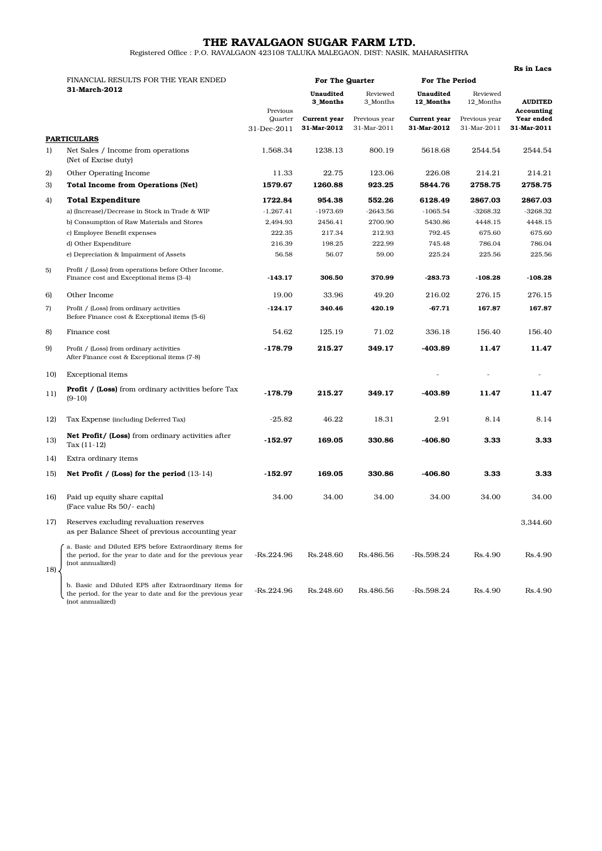## THE RAVALGAON SUGAR FARM LTD.

Registered Office : P.O. RAVALGAON 423108 TALUKA MALEGAON, DIST: NASIK, MAHARASHTRA

|     |                                                                                                                                           |                                    |                             |                              |                             |                              | <b>Rs</b> in Lacs                       |
|-----|-------------------------------------------------------------------------------------------------------------------------------------------|------------------------------------|-----------------------------|------------------------------|-----------------------------|------------------------------|-----------------------------------------|
|     | FINANCIAL RESULTS FOR THE YEAR ENDED<br>31-March-2012                                                                                     |                                    | For The Quarter             |                              | <b>For The Period</b>       |                              |                                         |
|     |                                                                                                                                           |                                    | Unaudited<br>3 Months       | Reviewed<br>3_Months         | Unaudited<br>12_Months      | Reviewed<br>12_Months        | <b>AUDITED</b>                          |
|     |                                                                                                                                           | Previous<br>Quarter<br>31-Dec-2011 | Current year<br>31-Mar-2012 | Previous year<br>31-Mar-2011 | Current year<br>31-Mar-2012 | Previous year<br>31-Mar-2011 | Accounting<br>Year ended<br>31-Mar-2011 |
|     | <b>PARTICULARS</b>                                                                                                                        |                                    |                             |                              |                             |                              |                                         |
| 1)  | Net Sales / Income from operations<br>(Net of Excise duty)                                                                                | 1,568.34                           | 1238.13                     | 800.19                       | 5618.68                     | 2544.54                      | 2544.54                                 |
| 2)  | Other Operating Income                                                                                                                    | 11.33                              | 22.75                       | 123.06                       | 226.08                      | 214.21                       | 214.21                                  |
| 3)  | <b>Total Income from Operations (Net)</b>                                                                                                 | 1579.67                            | 1260.88                     | 923.25                       | 5844.76                     | 2758.75                      | 2758.75                                 |
| 4)  | <b>Total Expenditure</b>                                                                                                                  | 1722.84                            | 954.38                      | 552.26                       | 6128.49                     | 2867.03                      | 2867.03                                 |
|     | a) (Increase)/Decrease in Stock in Trade & WIP                                                                                            | $-1,267.41$                        | $-1973.69$                  | $-2643.56$                   | $-1065.54$                  | $-3268.32$                   | $-3268.32$                              |
|     | b) Consumption of Raw Materials and Stores                                                                                                | 2,494.93                           | 2456.41                     | 2700.90                      | 5430.86                     | 4448.15                      | 4448.15                                 |
|     | c) Employee Benefit expenses                                                                                                              | 222.35                             | 217.34                      | 212.93                       | 792.45                      | 675.60                       | 675.60                                  |
|     | d) Other Expenditure                                                                                                                      | 216.39                             | 198.25                      | 222.99                       | 745.48                      | 786.04                       | 786.04                                  |
|     | e) Depreciation & Impairment of Assets                                                                                                    | 56.58                              | 56.07                       | 59.00                        | 225.24                      | 225.56                       | 225.56                                  |
| 5)  | Profit / (Loss) from operations before Other Income,<br>Finance cost and Exceptional items (3-4)                                          | $-143.17$                          | 306.50                      | 370.99                       | $-283.73$                   | $-108.28$                    | $-108.28$                               |
| 6)  | Other Income                                                                                                                              | 19.00                              | 33.96                       | 49.20                        | 216.02                      | 276.15                       | 276.15                                  |
| 7)  | Profit / (Loss) from ordinary activities<br>Before Finance cost & Exceptional items (5-6)                                                 | $-124.17$                          | 340.46                      | 420.19                       | $-67.71$                    | 167.87                       | 167.87                                  |
| 8)  | Finance cost                                                                                                                              | 54.62                              | 125.19                      | 71.02                        | 336.18                      | 156.40                       | 156.40                                  |
| 9)  | Profit / (Loss) from ordinary activities<br>After Finance cost & Exceptional items (7-8)                                                  | $-178.79$                          | 215.27                      | 349.17                       | -403.89                     | 11.47                        | 11.47                                   |
| 10) | <b>Exceptional</b> items                                                                                                                  |                                    |                             |                              | $\overline{a}$              |                              |                                         |
| 11) | <b>Profit / (Loss)</b> from ordinary activities before Tax<br>$(9-10)$                                                                    | $-178.79$                          | 215.27                      | 349.17                       | $-403.89$                   | 11.47                        | 11.47                                   |
| 12) | Tax Expense (including Deferred Tax)                                                                                                      | $-25.82$                           | 46.22                       | 18.31                        | 2.91                        | 8.14                         | 8.14                                    |
| 13) | <b>Net Profit/ (Loss)</b> from ordinary activities after<br>Tax $(11-12)$                                                                 | -152.97                            | 169.05                      | 330.86                       | $-406.80$                   | 3.33                         | 3.33                                    |
| 14) | Extra ordinary items                                                                                                                      |                                    |                             |                              |                             |                              |                                         |
| 15) | Net Profit / (Loss) for the period $(13-14)$                                                                                              | -152.97                            | 169.05                      | 330.86                       | -406.80                     | 3.33                         | 3.33                                    |
| 16) | Paid up equity share capital<br>(Face value Rs 50/- each)                                                                                 | 34.00                              | 34.00                       | 34.00                        | 34.00                       | 34.00                        | 34.00                                   |
| 17) | Reserves excluding revaluation reserves<br>as per Balance Sheet of previous accounting year                                               |                                    |                             |                              |                             |                              | 3,344.60                                |
| 18) | a. Basic and Diluted EPS before Extraordinary items for<br>the period, for the year to date and for the previous year<br>(not annualized) | -Rs.224.96                         | Rs.248.60                   | Rs.486.56                    | -Rs.598.24                  | Rs.4.90                      | Rs.4.90                                 |
|     | b. Basic and Diluted EPS after Extraordinary items for<br>the period, for the year to date and for the previous year<br>(not annualized)  | -Rs.224.96                         | Rs.248.60                   | Rs.486.56                    | -Rs.598.24                  | Rs.4.90                      | Rs.4.90                                 |